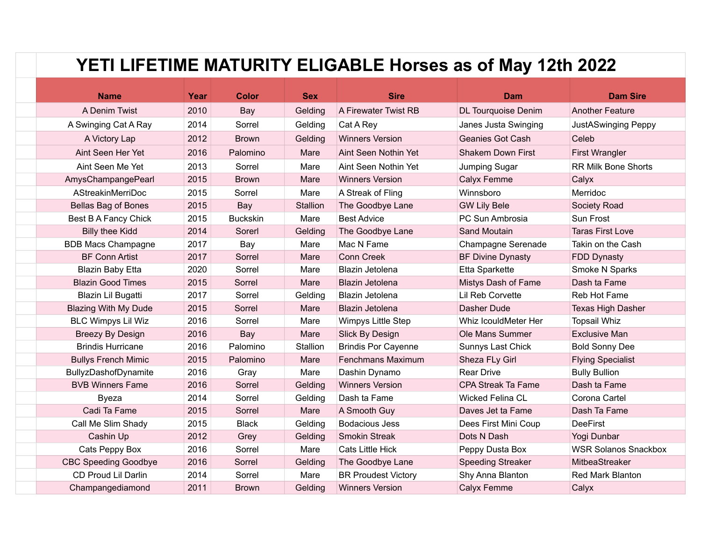## **YETI LIFETIME MATURITY ELIGABLE Horses as of May 12th 2022**

| <b>Name</b>                 | Year | <b>Color</b>    | <b>Sex</b> | <b>Sire</b>                | <b>Dam</b>                | <b>Dam Sire</b>             |
|-----------------------------|------|-----------------|------------|----------------------------|---------------------------|-----------------------------|
| A Denim Twist               | 2010 | Bay             | Gelding    | A Firewater Twist RB       | DL Tourquoise Denim       | <b>Another Feature</b>      |
| A Swinging Cat A Ray        | 2014 | Sorrel          | Gelding    | Cat A Rey                  | Janes Justa Swinging      | <b>JustASwinging Peppy</b>  |
| A Victory Lap               | 2012 | <b>Brown</b>    | Gelding    | <b>Winners Version</b>     | <b>Geanies Got Cash</b>   | Celeb                       |
| Aint Seen Her Yet           | 2016 | Palomino        | Mare       | Aint Seen Nothin Yet       | <b>Shakem Down First</b>  | <b>First Wrangler</b>       |
| Aint Seen Me Yet            | 2013 | Sorrel          | Mare       | Aint Seen Nothin Yet       | Jumping Sugar             | <b>RR Milk Bone Shorts</b>  |
| AmysChampangePearl          | 2015 | <b>Brown</b>    | Mare       | <b>Winners Version</b>     | Calyx Femme               | Calyx                       |
| AStreakinMerriDoc           | 2015 | Sorrel          | Mare       | A Streak of Fling          | Winnsboro                 | Merridoc                    |
| Bellas Bag of Bones         | 2015 | Bay             | Stallion   | The Goodbye Lane           | <b>GW Lily Bele</b>       | Society Road                |
| Best B A Fancy Chick        | 2015 | <b>Buckskin</b> | Mare       | <b>Best Advice</b>         | PC Sun Ambrosia           | Sun Frost                   |
| <b>Billy thee Kidd</b>      | 2014 | Sorerl          | Gelding    | The Goodbye Lane           | Sand Moutain              | <b>Taras First Love</b>     |
| <b>BDB Macs Champagne</b>   | 2017 | Bay             | Mare       | Mac N Fame                 | Champagne Serenade        | Takin on the Cash           |
| <b>BF Conn Artist</b>       | 2017 | Sorrel          | Mare       | <b>Conn Creek</b>          | <b>BF Divine Dynasty</b>  | FDD Dynasty                 |
| <b>Blazin Baby Etta</b>     | 2020 | Sorrel          | Mare       | Blazin Jetolena            | Etta Sparkette            | Smoke N Sparks              |
| <b>Blazin Good Times</b>    | 2015 | Sorrel          | Mare       | Blazin Jetolena            | Mistys Dash of Fame       | Dash ta Fame                |
| Blazin Lil Bugatti          | 2017 | Sorrel          | Gelding    | Blazin Jetolena            | Lil Reb Corvette          | Reb Hot Fame                |
| <b>Blazing With My Dude</b> | 2015 | Sorrel          | Mare       | Blazin Jetolena            | Dasher Dude               | Texas High Dasher           |
| <b>BLC Wimpys Lil Wiz</b>   | 2016 | Sorrel          | Mare       | Wimpys Little Step         | Whiz IcouldMeter Her      | <b>Topsail Whiz</b>         |
| <b>Breezy By Design</b>     | 2016 | Bay             | Mare       | Slick By Design            | Ole Mans Summer           | <b>Exclusive Man</b>        |
| <b>Brindis Hurricane</b>    | 2016 | Palomino        | Stallion   | <b>Brindis Por Cayenne</b> | Sunnys Last Chick         | <b>Bold Sonny Dee</b>       |
| <b>Bullys French Mimic</b>  | 2015 | Palomino        | Mare       | Fenchmans Maximum          | Sheza FLy Girl            | <b>Flying Specialist</b>    |
| BullyzDashofDynamite        | 2016 | Gray            | Mare       | Dashin Dynamo              | <b>Rear Drive</b>         | <b>Bully Bullion</b>        |
| <b>BVB Winners Fame</b>     | 2016 | Sorrel          | Gelding    | <b>Winners Version</b>     | <b>CPA Streak Ta Fame</b> | Dash ta Fame                |
| <b>Byeza</b>                | 2014 | Sorrel          | Gelding    | Dash ta Fame               | <b>Wicked Felina CL</b>   | Corona Cartel               |
| Cadi Ta Fame                | 2015 | Sorrel          | Mare       | A Smooth Guy               | Daves Jet ta Fame         | Dash Ta Fame                |
| Call Me Slim Shady          | 2015 | <b>Black</b>    | Gelding    | <b>Bodacious Jess</b>      | Dees First Mini Coup      | <b>DeeFirst</b>             |
| Cashin Up                   | 2012 | Grey            | Gelding    | Smokin Streak              | Dots N Dash               | Yogi Dunbar                 |
| Cats Peppy Box              | 2016 | Sorrel          | Mare       | <b>Cats Little Hick</b>    | Peppy Dusta Box           | <b>WSR Solanos Snackbox</b> |
| <b>CBC Speeding Goodbye</b> | 2016 | Sorrel          | Gelding    | The Goodbye Lane           | <b>Speeding Streaker</b>  | MitbeaStreaker              |
| CD Proud Lil Darlin         | 2014 | Sorrel          | Mare       | <b>BR Proudest Victory</b> | Shy Anna Blanton          | Red Mark Blanton            |
| Champangediamond            | 2011 | <b>Brown</b>    | Gelding    | <b>Winners Version</b>     | Calyx Femme               | Calyx                       |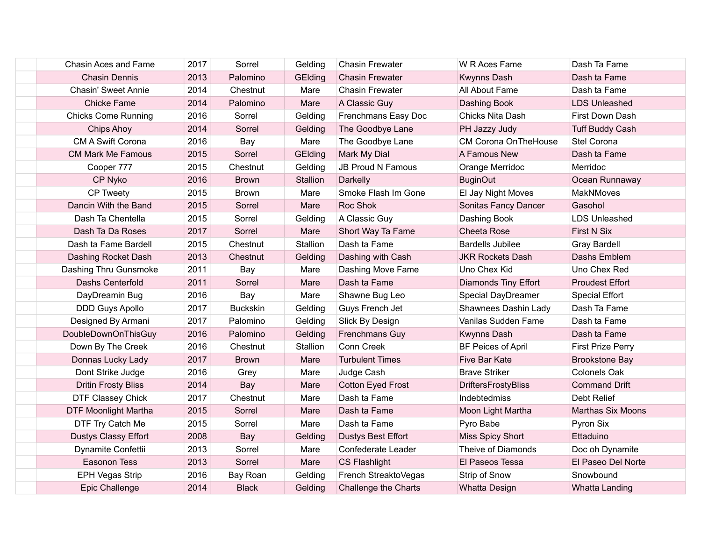| Chasin Aces and Fame        | 2017 | Sorrel          | Gelding  | <b>Chasin Frewater</b>    | W R Aces Fame               | Dash Ta Fame             |
|-----------------------------|------|-----------------|----------|---------------------------|-----------------------------|--------------------------|
| <b>Chasin Dennis</b>        | 2013 | Palomino        | GElding  | <b>Chasin Frewater</b>    | <b>Kwynns Dash</b>          | Dash ta Fame             |
| <b>Chasin' Sweet Annie</b>  | 2014 | Chestnut        | Mare     | <b>Chasin Frewater</b>    | All About Fame              | Dash ta Fame             |
| <b>Chicke Fame</b>          | 2014 | Palomino        | Mare     | A Classic Guy             | Dashing Book                | <b>LDS Unleashed</b>     |
| <b>Chicks Come Running</b>  | 2016 | Sorrel          | Gelding  | Frenchmans Easy Doc       | Chicks Nita Dash            | First Down Dash          |
| <b>Chips Ahoy</b>           | 2014 | Sorrel          | Gelding  | The Goodbye Lane          | PH Jazzy Judy               | <b>Tuff Buddy Cash</b>   |
| CM A Swift Corona           | 2016 | Bay             | Mare     | The Goodbye Lane          | <b>CM Corona OnTheHouse</b> | Stel Corona              |
| <b>CM Mark Me Famous</b>    | 2015 | Sorrel          | GElding  | Mark My Dial              | A Famous New                | Dash ta Fame             |
| Cooper 777                  | 2015 | Chestnut        | Gelding  | <b>JB Proud N Famous</b>  | Orange Merridoc             | Merridoc                 |
| CP Nyko                     | 2016 | <b>Brown</b>    | Stallion | Darkelly                  | <b>BuginOut</b>             | Ocean Runnaway           |
| CP Tweety                   | 2015 | <b>Brown</b>    | Mare     | Smoke Flash Im Gone       | El Jay Night Moves          | <b>MakNMoves</b>         |
| Dancin With the Band        | 2015 | Sorrel          | Mare     | Roc Shok                  | Sonitas Fancy Dancer        | Gasohol                  |
| Dash Ta Chentella           | 2015 | Sorrel          | Gelding  | A Classic Guy             | Dashing Book                | <b>LDS Unleashed</b>     |
| Dash Ta Da Roses            | 2017 | Sorrel          | Mare     | Short Way Ta Fame         | Cheeta Rose                 | <b>First N Six</b>       |
| Dash ta Fame Bardell        | 2015 | Chestnut        | Stallion | Dash ta Fame              | <b>Bardells Jubilee</b>     | <b>Gray Bardell</b>      |
| Dashing Rocket Dash         | 2013 | Chestnut        | Gelding  | Dashing with Cash         | <b>JKR Rockets Dash</b>     | Dashs Emblem             |
| Dashing Thru Gunsmoke       | 2011 | Bay             | Mare     | Dashing Move Fame         | Uno Chex Kid                | Uno Chex Red             |
| Dashs Centerfold            | 2011 | Sorrel          | Mare     | Dash ta Fame              | <b>Diamonds Tiny Effort</b> | <b>Proudest Effort</b>   |
| DayDreamin Bug              | 2016 | Bay             | Mare     | Shawne Bug Leo            | Special DayDreamer          | <b>Special Effort</b>    |
| DDD Guys Apollo             | 2017 | <b>Buckskin</b> | Gelding  | Guys French Jet           | Shawnees Dashin Lady        | Dash Ta Fame             |
| Designed By Armani          | 2017 | Palomino        | Gelding  | Slick By Design           | Vanilas Sudden Fame         | Dash ta Fame             |
| <b>DoubleDownOnThisGuy</b>  | 2016 | Palomino        | Gelding  | Frenchmans Guy            | Kwynns Dash                 | Dash ta Fame             |
| Down By The Creek           | 2016 | Chestnut        | Stallion | Conn Creek                | <b>BF Peices of April</b>   | <b>First Prize Perry</b> |
| Donnas Lucky Lady           | 2017 | <b>Brown</b>    | Mare     | <b>Turbulent Times</b>    | Five Bar Kate               | <b>Brookstone Bay</b>    |
| Dont Strike Judge           | 2016 | Grey            | Mare     | Judge Cash                | <b>Brave Striker</b>        | Colonels Oak             |
| <b>Dritin Frosty Bliss</b>  | 2014 | Bay             | Mare     | <b>Cotton Eyed Frost</b>  | <b>DriftersFrostyBliss</b>  | <b>Command Drift</b>     |
| <b>DTF Classey Chick</b>    | 2017 | Chestnut        | Mare     | Dash ta Fame              | Indebtedmiss                | <b>Debt Relief</b>       |
| <b>DTF Moonlight Martha</b> | 2015 | Sorrel          | Mare     | Dash ta Fame              | Moon Light Martha           | Marthas Six Moons        |
| DTF Try Catch Me            | 2015 | Sorrel          | Mare     | Dash ta Fame              | Pyro Babe                   | Pyron Six                |
| <b>Dustys Classy Effort</b> | 2008 | Bay             | Gelding  | <b>Dustys Best Effort</b> | <b>Miss Spicy Short</b>     | Ettaduino                |
| Dynamite Confettii          | 2013 | Sorrel          | Mare     | Confederate Leader        | Theive of Diamonds          | Doc oh Dynamite          |
| <b>Easonon Tess</b>         | 2013 | Sorrel          | Mare     | <b>CS Flashlight</b>      | El Paseos Tessa             | El Paseo Del Norte       |
| EPH Vegas Strip             | 2016 | Bay Roan        | Gelding  | French StreaktoVegas      | Strip of Snow               | Snowbound                |
| <b>Epic Challenge</b>       | 2014 | <b>Black</b>    | Gelding  | Challenge the Charts      | <b>Whatta Design</b>        | Whatta Landing           |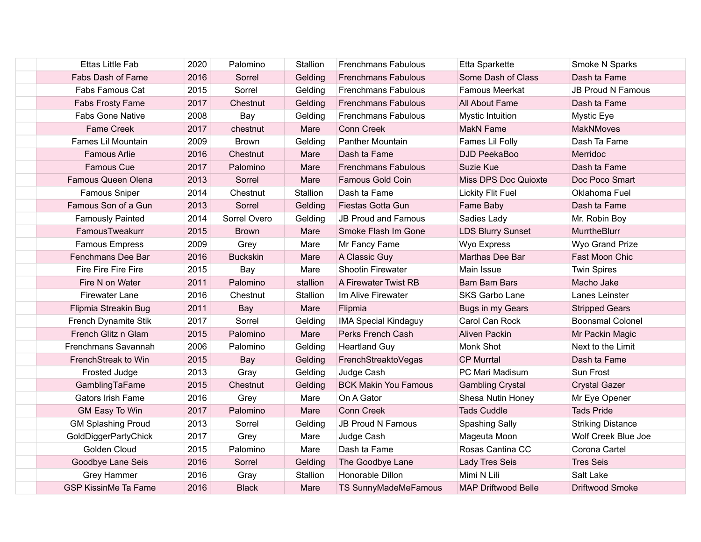| <b>Ettas Little Fab</b>     | 2020 | Palomino        | Stallion | <b>Frenchmans Fabulous</b>  | Etta Sparkette             | Smoke N Sparks           |
|-----------------------------|------|-----------------|----------|-----------------------------|----------------------------|--------------------------|
| Fabs Dash of Fame           | 2016 | Sorrel          | Gelding  | <b>Frenchmans Fabulous</b>  | Some Dash of Class         | Dash ta Fame             |
| Fabs Famous Cat             | 2015 | Sorrel          | Gelding  | <b>Frenchmans Fabulous</b>  | <b>Famous Meerkat</b>      | <b>JB Proud N Famous</b> |
| Fabs Frosty Fame            | 2017 | Chestnut        | Gelding  | <b>Frenchmans Fabulous</b>  | All About Fame             | Dash ta Fame             |
| <b>Fabs Gone Native</b>     | 2008 | Bay             | Gelding  | <b>Frenchmans Fabulous</b>  | <b>Mystic Intuition</b>    | Mystic Eye               |
| <b>Fame Creek</b>           | 2017 | chestnut        | Mare     | <b>Conn Creek</b>           | <b>MakN Fame</b>           | <b>MakNMoves</b>         |
| Fames Lil Mountain          | 2009 | <b>Brown</b>    | Gelding  | <b>Panther Mountain</b>     | Fames Lil Folly            | Dash Ta Fame             |
| <b>Famous Arlie</b>         | 2016 | Chestnut        | Mare     | Dash ta Fame                | <b>DJD PeekaBoo</b>        | Merridoc                 |
| <b>Famous Cue</b>           | 2017 | Palomino        | Mare     | <b>Frenchmans Fabulous</b>  | Suzie Kue                  | Dash ta Fame             |
| Famous Queen Olena          | 2013 | Sorrel          | Mare     | <b>Famous Gold Coin</b>     | Miss DPS Doc Quioxte       | Doc Poco Smart           |
| Famous Sniper               | 2014 | Chestnut        | Stallion | Dash ta Fame                | <b>Lickity Flit Fuel</b>   | Oklahoma Fuel            |
| Famous Son of a Gun         | 2013 | Sorrel          | Gelding  | Fiestas Gotta Gun           | Fame Baby                  | Dash ta Fame             |
| <b>Famously Painted</b>     | 2014 | Sorrel Overo    | Gelding  | <b>JB Proud and Famous</b>  | Sadies Lady                | Mr. Robin Boy            |
| FamousTweakurr              | 2015 | <b>Brown</b>    | Mare     | Smoke Flash Im Gone         | <b>LDS Blurry Sunset</b>   | <b>MurrtheBlurr</b>      |
| <b>Famous Empress</b>       | 2009 | Grey            | Mare     | Mr Fancy Fame               | Wyo Express                | Wyo Grand Prize          |
| Fenchmans Dee Bar           | 2016 | <b>Buckskin</b> | Mare     | A Classic Guy               | Marthas Dee Bar            | Fast Moon Chic           |
| Fire Fire Fire Fire         | 2015 | Bay             | Mare     | Shootin Firewater           | Main Issue                 | <b>Twin Spires</b>       |
| Fire N on Water             | 2011 | Palomino        | stallion | A Firewater Twist RB        | <b>Bam Bam Bars</b>        | Macho Jake               |
| Firewater Lane              | 2016 | Chestnut        | Stallion | Im Alive Firewater          | <b>SKS Garbo Lane</b>      | Lanes Leinster           |
| Flipmia Streakin Bug        | 2011 | Bay             | Mare     | Flipmia                     | Bugs in my Gears           | <b>Stripped Gears</b>    |
| French Dynamite Stik        | 2017 | Sorrel          | Gelding  | <b>IMA Special Kindaguy</b> | Carol Can Rock             | <b>Boonsmal Colonel</b>  |
| French Glitz n Glam         | 2015 | Palomino        | Mare     | Perks French Cash           | Aliven Packin              | Mr Packin Magic          |
| Frenchmans Savannah         | 2006 | Palomino        | Gelding  | <b>Heartland Guy</b>        | Monk Shot                  | Next to the Limit        |
| FrenchStreak to Win         | 2015 | Bay             | Gelding  | FrenchStreaktoVegas         | <b>CP Murrtal</b>          | Dash ta Fame             |
| Frosted Judge               | 2013 | Gray            | Gelding  | Judge Cash                  | PC Mari Madisum            | Sun Frost                |
| GamblingTaFame              | 2015 | Chestnut        | Gelding  | <b>BCK Makin You Famous</b> | <b>Gambling Crystal</b>    | <b>Crystal Gazer</b>     |
| Gators Irish Fame           | 2016 | Grey            | Mare     | On A Gator                  | Shesa Nutin Honey          | Mr Eye Opener            |
| GM Easy To Win              | 2017 | Palomino        | Mare     | <b>Conn Creek</b>           | <b>Tads Cuddle</b>         | <b>Tads Pride</b>        |
| <b>GM Splashing Proud</b>   | 2013 | Sorrel          | Gelding  | <b>JB Proud N Famous</b>    | Spashing Sally             | <b>Striking Distance</b> |
| GoldDiggerPartyChick        | 2017 | Grey            | Mare     | Judge Cash                  | Mageuta Moon               | Wolf Creek Blue Joe      |
| Golden Cloud                | 2015 | Palomino        | Mare     | Dash ta Fame                | Rosas Cantina CC           | Corona Cartel            |
| Goodbye Lane Seis           | 2016 | Sorrel          | Gelding  | The Goodbye Lane            | Lady Tres Seis             | <b>Tres Seis</b>         |
| <b>Grey Hammer</b>          | 2016 | Gray            | Stallion | Honorable Dillon            | Mimi N Lili                | Salt Lake                |
| <b>GSP KissinMe Ta Fame</b> | 2016 | <b>Black</b>    | Mare     | <b>TS SunnyMadeMeFamous</b> | <b>MAP Driftwood Belle</b> | Driftwood Smoke          |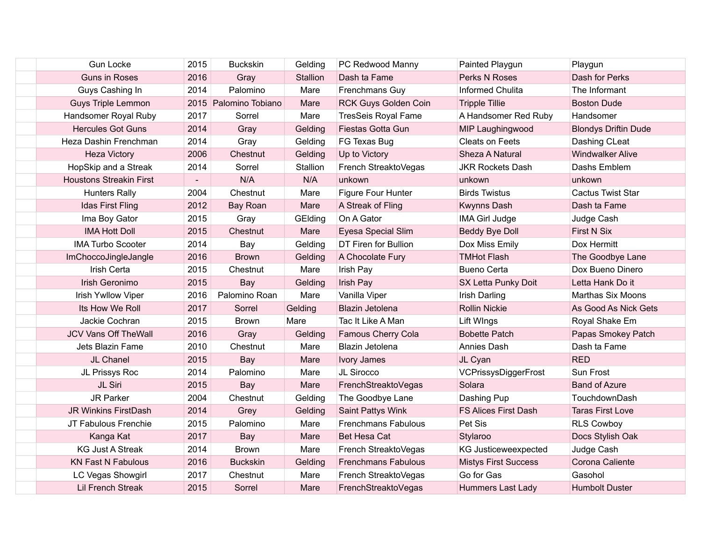| <b>Gun Locke</b>               | 2015                     | <b>Buckskin</b>       | Gelding  | PC Redwood Manny           | Painted Playgun             | Playgun                     |
|--------------------------------|--------------------------|-----------------------|----------|----------------------------|-----------------------------|-----------------------------|
| <b>Guns in Roses</b>           | 2016                     | Gray                  | Stallion | Dash ta Fame               | Perks N Roses               | Dash for Perks              |
| Guys Cashing In                | 2014                     | Palomino              | Mare     | Frenchmans Guy             | <b>Informed Chulita</b>     | The Informant               |
| <b>Guys Triple Lemmon</b>      |                          | 2015 Palomino Tobiano | Mare     | RCK Guys Golden Coin       | <b>Tripple Tillie</b>       | <b>Boston Dude</b>          |
| Handsomer Royal Ruby           | 2017                     | Sorrel                | Mare     | <b>TresSeis Royal Fame</b> | A Handsomer Red Ruby        | Handsomer                   |
| <b>Hercules Got Guns</b>       | 2014                     | Gray                  | Gelding  | Fiestas Gotta Gun          | MIP Laughingwood            | <b>Blondys Driftin Dude</b> |
| Heza Dashin Frenchman          | 2014                     | Gray                  | Gelding  | FG Texas Bug               | <b>Cleats on Feets</b>      | Dashing CLeat               |
| <b>Heza Victory</b>            | 2006                     | Chestnut              | Gelding  | Up to Victory              | Sheza A Natural             | <b>Windwalker Alive</b>     |
| HopSkip and a Streak           | 2014                     | Sorrel                | Stallion | French StreaktoVegas       | <b>JKR Rockets Dash</b>     | Dashs Emblem                |
| <b>Houstons Streakin First</b> | $\overline{\phantom{a}}$ | N/A                   | N/A      | unkown                     | unkown                      | unkown                      |
| <b>Hunters Rally</b>           | 2004                     | Chestnut              | Mare     | Figure Four Hunter         | <b>Birds Twistus</b>        | <b>Cactus Twist Star</b>    |
| Idas First Fling               | 2012                     | Bay Roan              | Mare     | A Streak of Fling          | Kwynns Dash                 | Dash ta Fame                |
| Ima Boy Gator                  | 2015                     | Gray                  | GElding  | On A Gator                 | <b>IMA Girl Judge</b>       | Judge Cash                  |
| <b>IMA Hott Doll</b>           | 2015                     | Chestnut              | Mare     | Eyesa Special Slim         | Beddy Bye Doll              | First N Six                 |
| <b>IMA Turbo Scooter</b>       | 2014                     | Bay                   | Gelding  | DT Firen for Bullion       | Dox Miss Emily              | Dox Hermitt                 |
| ImChoccoJingleJangle           | 2016                     | <b>Brown</b>          | Gelding  | A Chocolate Fury           | <b>TMHot Flash</b>          | The Goodbye Lane            |
| Irish Certa                    | 2015                     | Chestnut              | Mare     | Irish Pay                  | <b>Bueno Certa</b>          | Dox Bueno Dinero            |
| Irish Geronimo                 | 2015                     | Bay                   | Gelding  | Irish Pay                  | SX Letta Punky Doit         | Letta Hank Do it            |
| Irish Ywllow Viper             | 2016                     | Palomino Roan         | Mare     | Vanilla Viper              | <b>Irish Darling</b>        | <b>Marthas Six Moons</b>    |
| Its How We Roll                | 2017                     | Sorrel                | Gelding  | Blazin Jetolena            | <b>Rollin Nickie</b>        | As Good As Nick Gets        |
| Jackie Cochran                 | 2015                     | <b>Brown</b>          | Mare     | Tac It Like A Man          | Lift WIngs                  | Royal Shake Em              |
| <b>JCV Vans Off TheWall</b>    | 2016                     | Gray                  | Gelding  | Famous Cherry Cola         | <b>Bobette Patch</b>        | Papas Smokey Patch          |
| Jets Blazin Fame               | 2010                     | Chestnut              | Mare     | Blazin Jetolena            | Annies Dash                 | Dash ta Fame                |
| JL Chanel                      | 2015                     | Bay                   | Mare     | <b>Ivory James</b>         | JL Cyan                     | <b>RED</b>                  |
| JL Prissys Roc                 | 2014                     | Palomino              | Mare     | JL Sirocco                 | VCPrissysDiggerFrost        | Sun Frost                   |
| JL Siri                        | 2015                     | <b>Bay</b>            | Mare     | FrenchStreaktoVegas        | Solara                      | <b>Band of Azure</b>        |
| <b>JR Parker</b>               | 2004                     | Chestnut              | Gelding  | The Goodbye Lane           | Dashing Pup                 | TouchdownDash               |
| JR Winkins FirstDash           | 2014                     | Grey                  | Gelding  | Saint Pattys Wink          | <b>FS Alices First Dash</b> | <b>Taras First Love</b>     |
| JT Fabulous Frenchie           | 2015                     | Palomino              | Mare     | <b>Frenchmans Fabulous</b> | Pet Sis                     | <b>RLS Cowboy</b>           |
| Kanga Kat                      | 2017                     | Bay                   | Mare     | <b>Bet Hesa Cat</b>        | Stylaroo                    | Docs Stylish Oak            |
| <b>KG Just A Streak</b>        | 2014                     | <b>Brown</b>          | Mare     | French StreaktoVegas       | KG Justiceweexpected        | Judge Cash                  |
| <b>KN Fast N Fabulous</b>      | 2016                     | <b>Buckskin</b>       | Gelding  | <b>Frenchmans Fabulous</b> | <b>Mistys First Success</b> | Corona Caliente             |
| LC Vegas Showgirl              | 2017                     | Chestnut              | Mare     | French StreaktoVegas       | Go for Gas                  | Gasohol                     |
| <b>Lil French Streak</b>       | 2015                     | Sorrel                | Mare     | FrenchStreaktoVegas        | Hummers Last Lady           | <b>Humbolt Duster</b>       |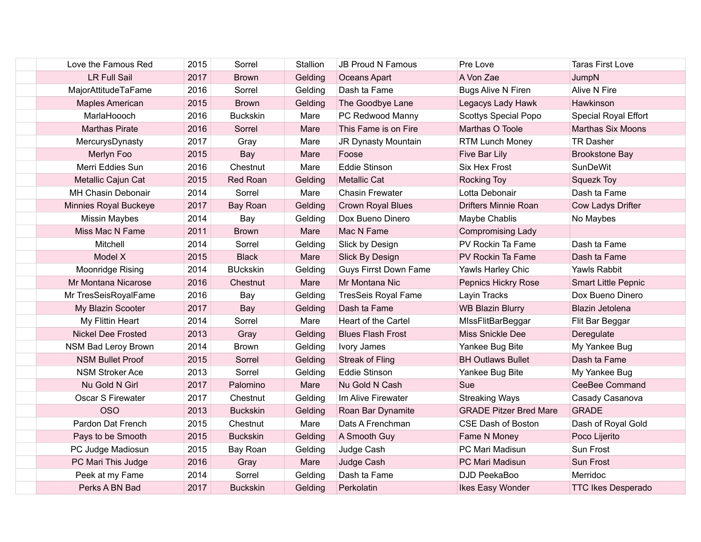| Love the Famous Red       | 2015 | Sorrel          | Stallion | <b>JB Proud N Famous</b>     | Pre Love                      | <b>Taras First Love</b>    |
|---------------------------|------|-----------------|----------|------------------------------|-------------------------------|----------------------------|
| <b>LR Full Sail</b>       | 2017 | <b>Brown</b>    | Gelding  | Oceans Apart                 | A Von Zae                     | JumpN                      |
| MajorAttitudeTaFame       | 2016 | Sorrel          | Gelding  | Dash ta Fame                 | <b>Bugs Alive N Firen</b>     | Alive N Fire               |
| <b>Maples American</b>    | 2015 | <b>Brown</b>    | Gelding  | The Goodbye Lane             | Legacys Lady Hawk             | Hawkinson                  |
| MarlaHoooch               | 2016 | <b>Buckskin</b> | Mare     | PC Redwood Manny             | <b>Scottys Special Popo</b>   | Special Royal Effort       |
| <b>Marthas Pirate</b>     | 2016 | Sorrel          | Mare     | This Fame is on Fire         | Marthas O Toole               | <b>Marthas Six Moons</b>   |
| MercurysDynasty           | 2017 | Gray            | Mare     | JR Dynasty Mountain          | <b>RTM Lunch Money</b>        | <b>TR Dasher</b>           |
| Merlyn Foo                | 2015 | Bay             | Mare     | Foose                        | Five Bar Lily                 | <b>Brookstone Bay</b>      |
| Merri Eddies Sun          | 2016 | Chestnut        | Mare     | <b>Eddie Stinson</b>         | <b>Six Hex Frost</b>          | <b>SunDeWit</b>            |
| Metallic Cajun Cat        | 2015 | Red Roan        | Gelding  | <b>Metallic Cat</b>          | <b>Rocking Toy</b>            | <b>Squezk Toy</b>          |
| MH Chasin Debonair        | 2014 | Sorrel          | Mare     | <b>Chasin Frewater</b>       | Lotta Debonair                | Dash ta Fame               |
| Minnies Royal Buckeye     | 2017 | Bay Roan        | Gelding  | <b>Crown Royal Blues</b>     | <b>Drifters Minnie Roan</b>   | Cow Ladys Drifter          |
| <b>Missin Maybes</b>      | 2014 | Bay             | Gelding  | Dox Bueno Dinero             | Maybe Chablis                 | No Maybes                  |
| Miss Mac N Fame           | 2011 | <b>Brown</b>    | Mare     | Mac N Fame                   | <b>Compromising Lady</b>      |                            |
| Mitchell                  | 2014 | Sorrel          | Gelding  | Slick by Design              | PV Rockin Ta Fame             | Dash ta Fame               |
| Model X                   | 2015 | <b>Black</b>    | Mare     | Slick By Design              | PV Rockin Ta Fame             | Dash ta Fame               |
| Moonridge Rising          | 2014 | <b>BUckskin</b> | Gelding  | <b>Guys Firrst Down Fame</b> | Yawls Harley Chic             | Yawls Rabbit               |
| Mr Montana Nicarose       | 2016 | Chestnut        | Mare     | Mr Montana Nic               | Pepnics Hickry Rose           | <b>Smart Little Pepnic</b> |
| Mr TresSeisRoyalFame      | 2016 | Bay             | Gelding  | <b>TresSeis Royal Fame</b>   | Layin Tracks                  | Dox Bueno Dinero           |
| My Blazin Scooter         | 2017 | Bay             | Gelding  | Dash ta Fame                 | <b>WB Blazin Blurry</b>       | Blazin Jetolena            |
| My Flittin Heart          | 2014 | Sorrel          | Mare     | Heart of the Cartel          | MIssFlitBarBeggar             | Flit Bar Beggar            |
| <b>Nickel Dee Frosted</b> | 2013 | Gray            | Gelding  | <b>Blues Flash Frost</b>     | Miss Snickle Dee              | Deregulate                 |
| NSM Bad Leroy Brown       | 2014 | <b>Brown</b>    | Gelding  | Ivory James                  | Yankee Bug Bite               | My Yankee Bug              |
| <b>NSM Bullet Proof</b>   | 2015 | Sorrel          | Gelding  | <b>Streak of Fling</b>       | <b>BH Outlaws Bullet</b>      | Dash ta Fame               |
| <b>NSM Stroker Ace</b>    | 2013 | Sorrel          | Gelding  | <b>Eddie Stinson</b>         | Yankee Bug Bite               | My Yankee Bug              |
| Nu Gold N Girl            | 2017 | Palomino        | Mare     | Nu Gold N Cash               | Sue                           | CeeBee Command             |
| Oscar S Firewater         | 2017 | Chestnut        | Gelding  | Im Alive Firewater           | <b>Streaking Ways</b>         | Casady Casanova            |
| <b>OSO</b>                | 2013 | <b>Buckskin</b> | Gelding  | Roan Bar Dynamite            | <b>GRADE Pitzer Bred Mare</b> | <b>GRADE</b>               |
| Pardon Dat French         | 2015 | Chestnut        | Mare     | Dats A Frenchman             | <b>CSE Dash of Boston</b>     | Dash of Royal Gold         |
| Pays to be Smooth         | 2015 | <b>Buckskin</b> | Gelding  | A Smooth Guy                 | Fame N Money                  | Poco Lijerito              |
| PC Judge Madiosun         | 2015 | Bay Roan        | Gelding  | Judge Cash                   | PC Mari Madisun               | Sun Frost                  |
| PC Mari This Judge        | 2016 | Gray            | Mare     | Judge Cash                   | PC Mari Madisun               | Sun Frost                  |
| Peek at my Fame           | 2014 | Sorrel          | Gelding  | Dash ta Fame                 | DJD PeekaBoo                  | Merridoc                   |
| Perks A BN Bad            | 2017 | <b>Buckskin</b> | Gelding  | Perkolatin                   | Ikes Easy Wonder              | <b>TTC Ikes Desperado</b>  |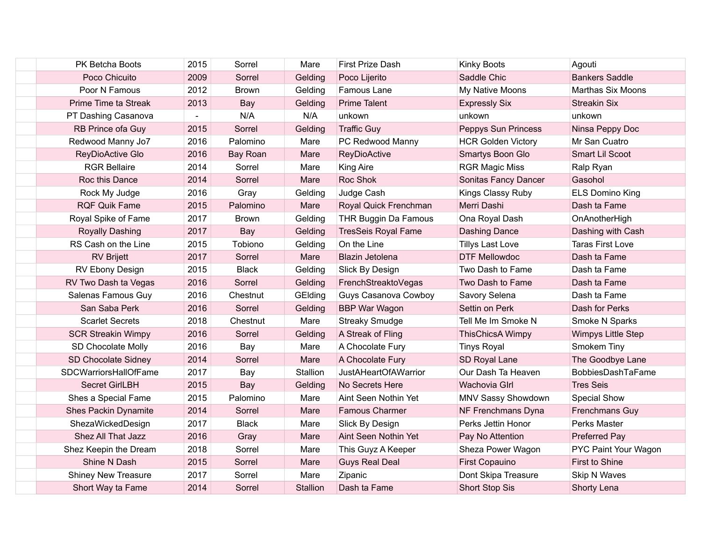| <b>PK Betcha Boots</b>       | 2015 | Sorrel       | Mare            | <b>First Prize Dash</b>     | Kinky Boots               | Agouti                   |
|------------------------------|------|--------------|-----------------|-----------------------------|---------------------------|--------------------------|
| Poco Chicuito                | 2009 | Sorrel       | Gelding         | Poco Lijerito               | Saddle Chic               | <b>Bankers Saddle</b>    |
| Poor N Famous                | 2012 | <b>Brown</b> | Gelding         | Famous Lane                 | My Native Moons           | <b>Marthas Six Moons</b> |
| Prime Time ta Streak         | 2013 | Bay          | Gelding         | <b>Prime Talent</b>         | <b>Expressly Six</b>      | <b>Streakin Six</b>      |
| PT Dashing Casanova          |      | N/A          | N/A             | unkown                      | unkown                    | unkown                   |
| RB Prince ofa Guy            | 2015 | Sorrel       | Gelding         | <b>Traffic Guy</b>          | Peppys Sun Princess       | Ninsa Peppy Doc          |
| Redwood Manny Jo7            | 2016 | Palomino     | Mare            | PC Redwood Manny            | <b>HCR Golden Victory</b> | Mr San Cuatro            |
| ReyDioActive Glo             | 2016 | Bay Roan     | Mare            | <b>ReyDioActive</b>         | Smartys Boon Glo          | Smart Lil Scoot          |
| <b>RGR Bellaire</b>          | 2014 | Sorrel       | Mare            | <b>King Aire</b>            | <b>RGR Magic Miss</b>     | Ralp Ryan                |
| Roc this Dance               | 2014 | Sorrel       | Mare            | Roc Shok                    | Sonitas Fancy Dancer      | Gasohol                  |
| Rock My Judge                | 2016 | Gray         | Gelding         | Judge Cash                  | Kings Classy Ruby         | <b>ELS Domino King</b>   |
| <b>RQF Quik Fame</b>         | 2015 | Palomino     | Mare            | Royal Quick Frenchman       | Merri Dashi               | Dash ta Fame             |
| Royal Spike of Fame          | 2017 | <b>Brown</b> | Gelding         | THR Buggin Da Famous        | Ona Royal Dash            | OnAnotherHigh            |
| <b>Royally Dashing</b>       | 2017 | Bay          | Gelding         | <b>TresSeis Royal Fame</b>  | <b>Dashing Dance</b>      | Dashing with Cash        |
| RS Cash on the Line          | 2015 | Tobiono      | Gelding         | On the Line                 | <b>Tillys Last Love</b>   | Taras First Love         |
| <b>RV Brijett</b>            | 2017 | Sorrel       | Mare            | Blazin Jetolena             | <b>DTF Mellowdoc</b>      | Dash ta Fame             |
| RV Ebony Design              | 2015 | <b>Black</b> | Gelding         | Slick By Design             | Two Dash to Fame          | Dash ta Fame             |
| RV Two Dash ta Vegas         | 2016 | Sorrel       | Gelding         | FrenchStreaktoVegas         | Two Dash to Fame          | Dash ta Fame             |
| Salenas Famous Guy           | 2016 | Chestnut     | GElding         | Guys Casanova Cowboy        | Savory Selena             | Dash ta Fame             |
| San Saba Perk                | 2016 | Sorrel       | Gelding         | <b>BBP War Wagon</b>        | Settin on Perk            | Dash for Perks           |
| <b>Scarlet Secrets</b>       | 2018 | Chestnut     | Mare            | <b>Streaky Smudge</b>       | Tell Me Im Smoke N        | Smoke N Sparks           |
| <b>SCR Streakin Wimpy</b>    | 2016 | Sorrel       | Gelding         | A Streak of Fling           | <b>ThisChicsA Wimpy</b>   | Wimpys Little Step       |
| SD Chocolate Molly           | 2016 | Bay          | Mare            | A Chocolate Fury            | <b>Tinys Royal</b>        | Smokem Tiny              |
| SD Chocolate Sidney          | 2014 | Sorrel       | Mare            | A Chocolate Fury            | SD Royal Lane             | The Goodbye Lane         |
| <b>SDCWarriorsHallOfFame</b> | 2017 | Bay          | Stallion        | <b>JustAHeartOfAWarrior</b> | Our Dash Ta Heaven        | BobbiesDashTaFame        |
| Secret GirlLBH               | 2015 | Bay          | Gelding         | No Secrets Here             | Wachovia Glrl             | <b>Tres Seis</b>         |
| Shes a Special Fame          | 2015 | Palomino     | Mare            | Aint Seen Nothin Yet        | MNV Sassy Showdown        | <b>Special Show</b>      |
| <b>Shes Packin Dynamite</b>  | 2014 | Sorrel       | Mare            | Famous Charmer              | NF Frenchmans Dyna        | Frenchmans Guy           |
| ShezaWickedDesign            | 2017 | <b>Black</b> | Mare            | Slick By Design             | Perks Jettin Honor        | Perks Master             |
| Shez All That Jazz           | 2016 | Gray         | Mare            | Aint Seen Nothin Yet        | Pay No Attention          | <b>Preferred Pay</b>     |
| Shez Keepin the Dream        | 2018 | Sorrel       | Mare            | This Guyz A Keeper          | Sheza Power Wagon         | PYC Paint Your Wagon     |
| Shine N Dash                 | 2015 | Sorrel       | Mare            | <b>Guys Real Deal</b>       | <b>First Copauino</b>     | First to Shine           |
| <b>Shiney New Treasure</b>   | 2017 | Sorrel       | Mare            | Zipanic                     | Dont Skipa Treasure       | Skip N Waves             |
| Short Way ta Fame            | 2014 | Sorrel       | <b>Stallion</b> | Dash ta Fame                | <b>Short Stop Sis</b>     | Shorty Lena              |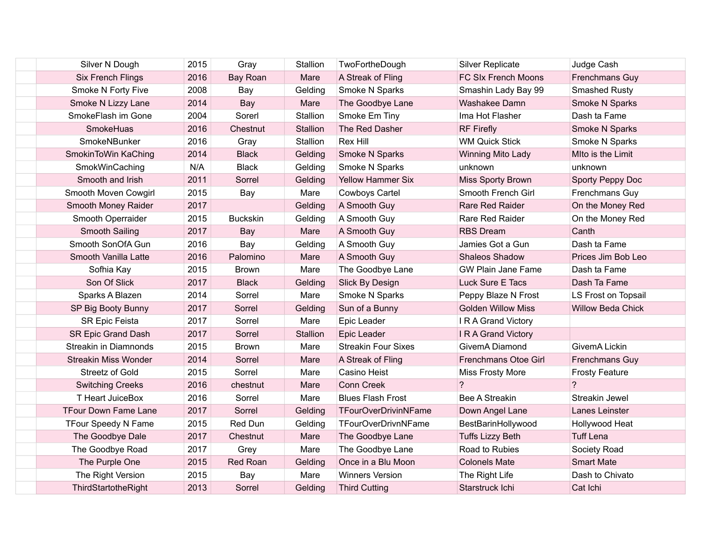| Silver N Dough              | 2015 | Gray            | Stallion | TwoFortheDough             | <b>Silver Replicate</b>   | Judge Cash               |
|-----------------------------|------|-----------------|----------|----------------------------|---------------------------|--------------------------|
| <b>Six French Flings</b>    | 2016 | Bay Roan        | Mare     | A Streak of Fling          | FC SIx French Moons       | Frenchmans Guy           |
| Smoke N Forty Five          | 2008 | Bay             | Gelding  | Smoke N Sparks             | Smashin Lady Bay 99       | <b>Smashed Rusty</b>     |
| Smoke N Lizzy Lane          | 2014 | Bay             | Mare     | The Goodbye Lane           | Washakee Damn             | Smoke N Sparks           |
| SmokeFlash im Gone          | 2004 | Sorerl          | Stallion | Smoke Em Tiny              | Ima Hot Flasher           | Dash ta Fame             |
| SmokeHuas                   | 2016 | Chestnut        | Stallion | The Red Dasher             | <b>RF Firefly</b>         | Smoke N Sparks           |
| SmokeNBunker                | 2016 | Gray            | Stallion | <b>Rex Hill</b>            | <b>WM Quick Stick</b>     | Smoke N Sparks           |
| SmokinToWin KaChing         | 2014 | <b>Black</b>    | Gelding  | Smoke N Sparks             | Winning Mito Lady         | MIto is the Limit        |
| SmokWinCaching              | N/A  | <b>Black</b>    | Gelding  | Smoke N Sparks             | unknown                   | unknown                  |
| Smooth and Irish            | 2011 | Sorrel          | Gelding  | <b>Yellow Hammer Six</b>   | Miss Sporty Brown         | Sporty Peppy Doc         |
| Smooth Moven Cowgirl        | 2015 | Bay             | Mare     | <b>Cowboys Cartel</b>      | Smooth French Girl        | Frenchmans Guy           |
| Smooth Money Raider         | 2017 |                 | Gelding  | A Smooth Guy               | Rare Red Raider           | On the Money Red         |
| Smooth Operraider           | 2015 | <b>Buckskin</b> | Gelding  | A Smooth Guy               | Rare Red Raider           | On the Money Red         |
| Smooth Sailing              | 2017 | Bay             | Mare     | A Smooth Guy               | <b>RBS Dream</b>          | Canth                    |
| Smooth SonOfA Gun           | 2016 | Bay             | Gelding  | A Smooth Guy               | Jamies Got a Gun          | Dash ta Fame             |
| Smooth Vanilla Latte        | 2016 | Palomino        | Mare     | A Smooth Guy               | Shaleos Shadow            | Prices Jim Bob Leo       |
| Sofhia Kay                  | 2015 | <b>Brown</b>    | Mare     | The Goodbye Lane           | <b>GW Plain Jane Fame</b> | Dash ta Fame             |
| Son Of Slick                | 2017 | <b>Black</b>    | Gelding  | Slick By Design            | Luck Sure E Tacs          | Dash Ta Fame             |
| Sparks A Blazen             | 2014 | Sorrel          | Mare     | Smoke N Sparks             | Peppy Blaze N Frost       | LS Frost on Topsail      |
| SP Big Booty Bunny          | 2017 | Sorrel          | Gelding  | Sun of a Bunny             | <b>Golden Willow Miss</b> | <b>Willow Beda Chick</b> |
| <b>SR Epic Feista</b>       | 2017 | Sorrel          | Mare     | Epic Leader                | IRA Grand Victory         |                          |
| <b>SR Epic Grand Dash</b>   | 2017 | Sorrel          | Stallion | Epic Leader                | IRA Grand Victory         |                          |
| Streakin in Diamnonds       | 2015 | <b>Brown</b>    | Mare     | <b>Streakin Four Sixes</b> | GivemA Diamond            | GivemA Lickin            |
| <b>Streakin Miss Wonder</b> | 2014 | Sorrel          | Mare     | A Streak of Fling          | Frenchmans Otoe Girl      | Frenchmans Guy           |
| Streetz of Gold             | 2015 | Sorrel          | Mare     | Casino Heist               | Miss Frosty More          | <b>Frosty Feature</b>    |
| <b>Switching Creeks</b>     | 2016 | chestnut        | Mare     | <b>Conn Creek</b>          | $\overline{?}$            | $\overline{?}$           |
| T Heart JuiceBox            | 2016 | Sorrel          | Mare     | <b>Blues Flash Frost</b>   | <b>Bee A Streakin</b>     | Streakin Jewel           |
| <b>TFour Down Fame Lane</b> | 2017 | Sorrel          | Gelding  | TFourOverDrivinNFame       | Down Angel Lane           | Lanes Leinster           |
| <b>TFour Speedy N Fame</b>  | 2015 | Red Dun         | Gelding  | TFourOverDrivnNFame        | BestBarinHollywood        | Hollywood Heat           |
| The Goodbye Dale            | 2017 | Chestnut        | Mare     | The Goodbye Lane           | Tuffs Lizzy Beth          | <b>Tuff Lena</b>         |
| The Goodbye Road            | 2017 | Grey            | Mare     | The Goodbye Lane           | Road to Rubies            | Society Road             |
| The Purple One              | 2015 | <b>Red Roan</b> | Gelding  | Once in a Blu Moon         | <b>Colonels Mate</b>      | <b>Smart Mate</b>        |
| The Right Version           | 2015 | Bay             | Mare     | <b>Winners Version</b>     | The Right Life            | Dash to Chivato          |
| ThirdStartotheRight         | 2013 | Sorrel          | Gelding  | <b>Third Cutting</b>       | Starstruck Ichi           | Cat Ichi                 |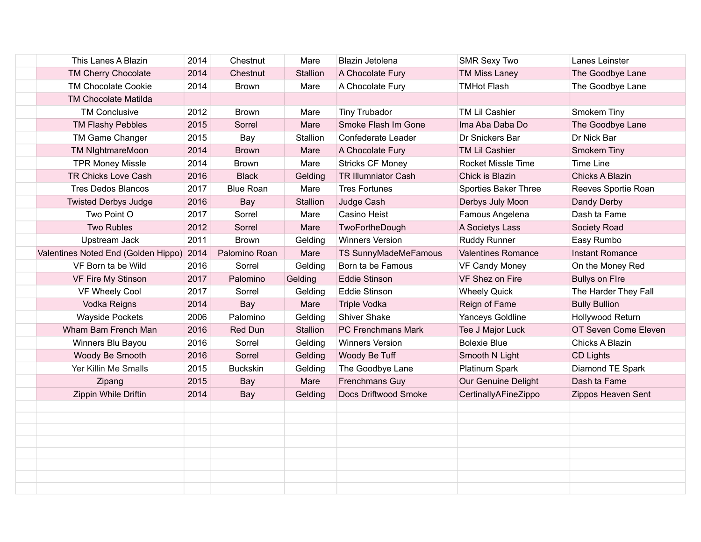| This Lanes A Blazin                 | 2014 | Chestnut         | Mare     | Blazin Jetolena            | <b>SMR Sexy Two</b>       | Lanes Leinster         |
|-------------------------------------|------|------------------|----------|----------------------------|---------------------------|------------------------|
| <b>TM Cherry Chocolate</b>          | 2014 | Chestnut         | Stallion | A Chocolate Fury           | <b>TM Miss Laney</b>      | The Goodbye Lane       |
| <b>TM Chocolate Cookie</b>          | 2014 | <b>Brown</b>     | Mare     | A Chocolate Fury           | <b>TMHot Flash</b>        | The Goodbye Lane       |
| <b>TM Chocolate Matilda</b>         |      |                  |          |                            |                           |                        |
| <b>TM Conclusive</b>                | 2012 | <b>Brown</b>     | Mare     | <b>Tiny Trubador</b>       | TM Lil Cashier            | Smokem Tiny            |
| TM Flashy Pebbles                   | 2015 | Sorrel           | Mare     | Smoke Flash Im Gone        | Ima Aba Daba Do           | The Goodbye Lane       |
| TM Game Changer                     | 2015 | Bay              | Stallion | Confederate Leader         | Dr Snickers Bar           | Dr Nick Bar            |
| TM NightmareMoon                    | 2014 | <b>Brown</b>     | Mare     | A Chocolate Fury           | TM Lil Cashier            | Smokem Tiny            |
| <b>TPR Money Missle</b>             | 2014 | <b>Brown</b>     | Mare     | <b>Stricks CF Money</b>    | <b>Rocket Missle Time</b> | <b>Time Line</b>       |
| TR Chicks Love Cash                 | 2016 | <b>Black</b>     | Gelding  | <b>TR Illumniator Cash</b> | Chick is Blazin           | Chicks A Blazin        |
| <b>Tres Dedos Blancos</b>           | 2017 | <b>Blue Roan</b> | Mare     | <b>Tres Fortunes</b>       | Sporties Baker Three      | Reeves Sportie Roan    |
| <b>Twisted Derbys Judge</b>         | 2016 | Bay              | Stallion | Judge Cash                 | Derbys July Moon          | Dandy Derby            |
| Two Point O                         | 2017 | Sorrel           | Mare     | Casino Heist               | Famous Angelena           | Dash ta Fame           |
| <b>Two Rubles</b>                   | 2012 | Sorrel           | Mare     | TwoFortheDough             | A Societys Lass           | Society Road           |
| Upstream Jack                       | 2011 | <b>Brown</b>     | Gelding  | <b>Winners Version</b>     | <b>Ruddy Runner</b>       | Easy Rumbo             |
| Valentines Noted End (Golden Hippo) | 2014 | Palomino Roan    | Mare     | TS SunnyMadeMeFamous       | <b>Valentines Romance</b> | <b>Instant Romance</b> |
| VF Born ta be Wild                  | 2016 | Sorrel           | Gelding  | Born ta be Famous          | <b>VF Candy Money</b>     | On the Money Red       |
| VF Fire My Stinson                  | 2017 | Palomino         | Gelding  | <b>Eddie Stinson</b>       | VF Shez on Fire           | <b>Bullys on Fire</b>  |
| VF Wheely Cool                      | 2017 | Sorrel           | Gelding  | <b>Eddie Stinson</b>       | <b>Wheely Quick</b>       | The Harder They Fall   |
| Vodka Reigns                        | 2014 | Bay              | Mare     | <b>Triple Vodka</b>        | Reign of Fame             | <b>Bully Bullion</b>   |
| <b>Wayside Pockets</b>              | 2006 | Palomino         | Gelding  | <b>Shiver Shake</b>        | Yanceys Goldline          | Hollywood Return       |
| Wham Bam French Man                 | 2016 | Red Dun          | Stallion | PC Frenchmans Mark         | Tee J Major Luck          | OT Seven Come Eleven   |
| Winners Blu Bayou                   | 2016 | Sorrel           | Gelding  | <b>Winners Version</b>     | <b>Bolexie Blue</b>       | Chicks A Blazin        |
| Woody Be Smooth                     | 2016 | Sorrel           | Gelding  | Woody Be Tuff              | Smooth N Light            | CD Lights              |
| Yer Killin Me Smalls                | 2015 | <b>Buckskin</b>  | Gelding  | The Goodbye Lane           | Platinum Spark            | Diamond TE Spark       |
| Zipang                              | 2015 | Bay              | Mare     | <b>Frenchmans Guy</b>      | Our Genuine Delight       | Dash ta Fame           |
| Zippin While Driftin                | 2014 | Bay              | Gelding  | Docs Driftwood Smoke       | CertinallyAFineZippo      | Zippos Heaven Sent     |
|                                     |      |                  |          |                            |                           |                        |
|                                     |      |                  |          |                            |                           |                        |
|                                     |      |                  |          |                            |                           |                        |
|                                     |      |                  |          |                            |                           |                        |
|                                     |      |                  |          |                            |                           |                        |
|                                     |      |                  |          |                            |                           |                        |
|                                     |      |                  |          |                            |                           |                        |